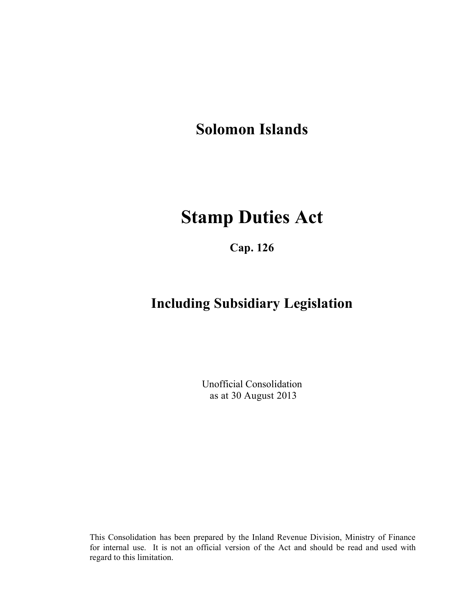**Solomon Islands**

# **Stamp Duties Act**

**Cap. 126**

## **Including Subsidiary Legislation**

Unofficial Consolidation as at 30 August 2013

This Consolidation has been prepared by the Inland Revenue Division, Ministry of Finance for internal use. It is not an official version of the Act and should be read and used with regard to this limitation.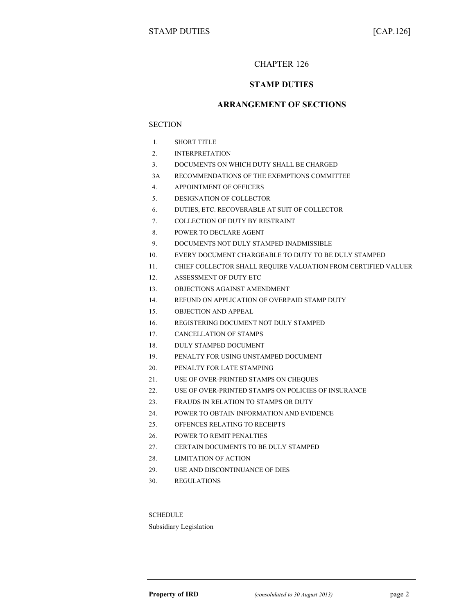### CHAPTER 126

#### **STAMP DUTIES**

#### **ARRANGEMENT OF SECTIONS**

#### **SECTION**

- 1. SHORT TITLE
- 2. INTERPRETATION
- 3. DOCUMENTS ON WHICH DUTY SHALL BE CHARGED
- 3A RECOMMENDATIONS OF THE EXEMPTIONS COMMITTEE
- 4. APPOINTMENT OF OFFICERS
- 5. DESIGNATION OF COLLECTOR
- 6. DUTIES, ETC. RECOVERABLE AT SUIT OF COLLECTOR
- 7. COLLECTION OF DUTY BY RESTRAINT
- 8. POWER TO DECLARE AGENT
- 9. DOCUMENTS NOT DULY STAMPED INADMISSIBLE
- 10. EVERY DOCUMENT CHARGEABLE TO DUTY TO BE DULY STAMPED
- 11. CHIEF COLLECTOR SHALL REQUIRE VALUATION FROM CERTIFIED VALUER
- 12. ASSESSMENT OF DUTY ETC
- 13. OBJECTIONS AGAINST AMENDMENT
- 14. REFUND ON APPLICATION OF OVERPAID STAMP DUTY
- 15. OBJECTION AND APPEAL
- 16. REGISTERING DOCUMENT NOT DULY STAMPED
- 17. CANCELLATION OF STAMPS
- 18. DULY STAMPED DOCUMENT
- 19. PENALTY FOR USING UNSTAMPED DOCUMENT
- 20. PENALTY FOR LATE STAMPING
- 21. USE OF OVER-PRINTED STAMPS ON CHEQUES
- 22. USE OF OVER-PRINTED STAMPS ON POLICIES OF INSURANCE
- 23. FRAUDS IN RELATION TO STAMPS OR DUTY
- 24. POWER TO OBTAIN INFORMATION AND EVIDENCE
- 25. OFFENCES RELATING TO RECEIPTS
- 26. POWER TO REMIT PENALTIES
- 27. CERTAIN DOCUMENTS TO BE DULY STAMPED
- 28. LIMITATION OF ACTION
- 29. USE AND DISCONTINUANCE OF DIES
- 30. REGULATIONS

**SCHEDULE** 

Subsidiary Legislation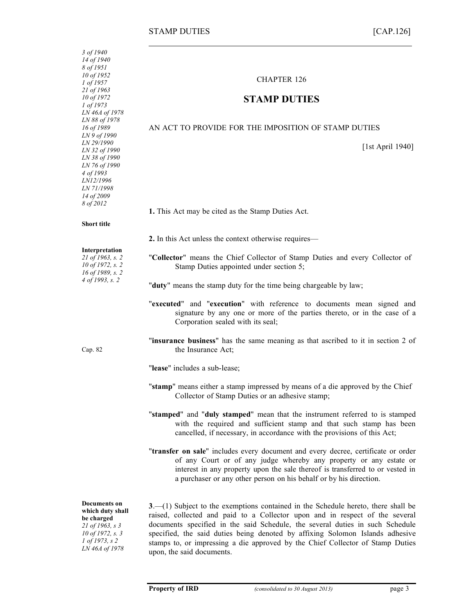| 3 of 1940<br>14 of 1940<br>8 of 1951<br>10 of 1952                                                                                                      | <b>CHAPTER 126</b>                                                                                                                                                                                                                                                                                                                                                                                                                                   |
|---------------------------------------------------------------------------------------------------------------------------------------------------------|------------------------------------------------------------------------------------------------------------------------------------------------------------------------------------------------------------------------------------------------------------------------------------------------------------------------------------------------------------------------------------------------------------------------------------------------------|
| 1 of 1957<br>21 of 1963<br>10 of 1972<br>1 of 1973<br>LN 46A of 1978                                                                                    | <b>STAMP DUTIES</b>                                                                                                                                                                                                                                                                                                                                                                                                                                  |
| LN 88 of 1978<br>16 of 1989                                                                                                                             | AN ACT TO PROVIDE FOR THE IMPOSITION OF STAMP DUTIES                                                                                                                                                                                                                                                                                                                                                                                                 |
| LN 9 of 1990<br>LN 29/1990<br>LN 32 of 1990<br>LN 38 of 1990<br>LN 76 of 1990<br>4 of 1993<br>LN12/1996<br><i>LN 71/1998</i><br>14 of 2009<br>8 of 2012 | [1st April 1940]                                                                                                                                                                                                                                                                                                                                                                                                                                     |
|                                                                                                                                                         | 1. This Act may be cited as the Stamp Duties Act.                                                                                                                                                                                                                                                                                                                                                                                                    |
| <b>Short title</b>                                                                                                                                      |                                                                                                                                                                                                                                                                                                                                                                                                                                                      |
| Interpretation                                                                                                                                          | 2. In this Act unless the context otherwise requires—                                                                                                                                                                                                                                                                                                                                                                                                |
| 21 of 1963, s. 2<br>10 of 1972, s. 2<br>16 of 1989, s. 2                                                                                                | "Collector" means the Chief Collector of Stamp Duties and every Collector of<br>Stamp Duties appointed under section 5;                                                                                                                                                                                                                                                                                                                              |
| 4 of 1993, s. 2                                                                                                                                         | "duty" means the stamp duty for the time being chargeable by law;                                                                                                                                                                                                                                                                                                                                                                                    |
|                                                                                                                                                         | "executed" and "execution" with reference to documents mean signed and<br>signature by any one or more of the parties thereto, or in the case of a<br>Corporation sealed with its seal;                                                                                                                                                                                                                                                              |
| Cap. 82                                                                                                                                                 | "insurance business" has the same meaning as that ascribed to it in section 2 of<br>the Insurance Act;                                                                                                                                                                                                                                                                                                                                               |
|                                                                                                                                                         | "lease" includes a sub-lease;                                                                                                                                                                                                                                                                                                                                                                                                                        |
|                                                                                                                                                         | "stamp" means either a stamp impressed by means of a die approved by the Chief<br>Collector of Stamp Duties or an adhesive stamp;                                                                                                                                                                                                                                                                                                                    |
|                                                                                                                                                         | "stamped" and "duly stamped" mean that the instrument referred to is stamped<br>with the required and sufficient stamp and that such stamp has been<br>cancelled, if necessary, in accordance with the provisions of this Act;                                                                                                                                                                                                                       |
|                                                                                                                                                         | "transfer on sale" includes every document and every decree, certificate or order<br>of any Court or of any judge whereby any property or any estate or<br>interest in any property upon the sale thereof is transferred to or vested in<br>a purchaser or any other person on his behalf or by his direction.                                                                                                                                       |
| <b>Documents on</b><br>which duty shall<br>be charged<br>21 of 1963, s 3<br>10 of 1972, s. 3<br>1 of 1973, s 2<br>LN 46A of 1978                        | $3-$ (1) Subject to the exemptions contained in the Schedule hereto, there shall be<br>raised, collected and paid to a Collector upon and in respect of the several<br>documents specified in the said Schedule, the several duties in such Schedule<br>specified, the said duties being denoted by affixing Solomon Islands adhesive<br>stamps to, or impressing a die approved by the Chief Collector of Stamp Duties<br>upon, the said documents. |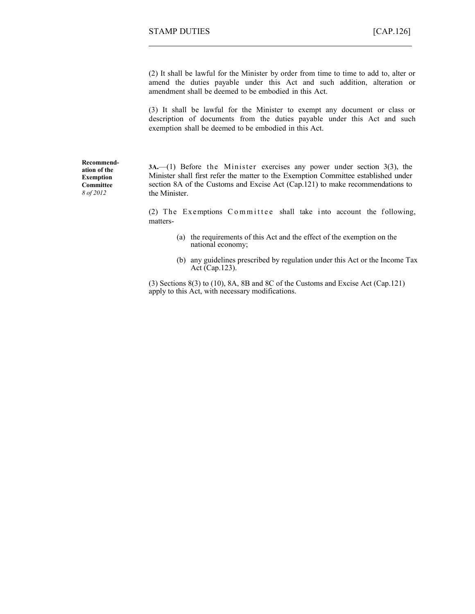(2) It shall be lawful for the Minister by order from time to time to add to, alter or amend the duties payable under this Act and such addition, alteration or amendment shall be deemed to be embodied in this Act.

(3) It shall be lawful for the Minister to exempt any document or class or description of documents from the duties payable under this Act and such exemption shall be deemed to be embodied in this Act.

**Recommendation of the Exemption Committee** *8 of 2012*

**3A.**—(1) Before the Minister exercises any power under section 3(3), the Minister shall first refer the matter to the Exemption Committee established under section 8A of the Customs and Excise Act (Cap.121) to make recommendations to the Minister.

(2) The Exemptions Committee shall take into account the following, matters-

- (a) the requirements of this Act and the effect of the exemption on the national economy;
- (b) any guidelines prescribed by regulation under this Act or the Income Tax Act (Cap.123).

(3) Sections 8(3) to (10), 8A, 8B and 8C of the Customs and Excise Act (Cap.121) apply to this Act, with necessary modifications.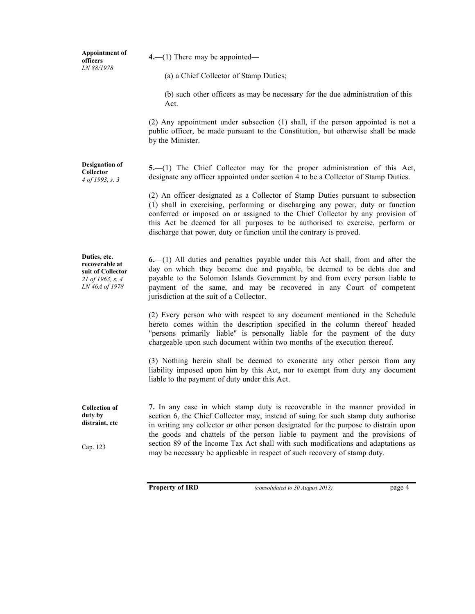**Appointment of officers** *LN 88/1978*

**Designation of Collector** *4 of 1993, s. 3*

**4.**—(1) There may be appointed*—*

(a) a Chief Collector of Stamp Duties;

(b) such other officers as may be necessary for the due administration of this Act.

(2) Any appointment under subsection (1) shall, if the person appointed is not a public officer, be made pursuant to the Constitution, but otherwise shall be made by the Minister.

**5.**—(1) The Chief Collector may for the proper administration of this Act, designate any officer appointed under section 4 to be a Collector of Stamp Duties.

(2) An officer designated as a Collector of Stamp Duties pursuant to subsection (1) shall in exercising, performing or discharging any power, duty or function conferred or imposed on or assigned to the Chief Collector by any provision of this Act be deemed for all purposes to be authorised to exercise, perform or discharge that power, duty or function until the contrary is proved.

**Duties, etc. recoverable at suit of Collector** *21 of 1963, s. 4 LN 46A of 1978*

**6.**—(1) All duties and penalties payable under this Act shall, from and after the day on which they become due and payable, be deemed to be debts due and payable to the Solomon Islands Government by and from every person liable to payment of the same, and may be recovered in any Court of competent jurisdiction at the suit of a Collector.

(2) Every person who with respect to any document mentioned in the Schedule hereto comes within the description specified in the column thereof headed "persons primarily liable" is personally liable for the payment of the duty chargeable upon such document within two months of the execution thereof.

(3) Nothing herein shall be deemed to exonerate any other person from any liability imposed upon him by this Act, nor to exempt from duty any document liable to the payment of duty under this Act.

**Collection of duty by distraint, etc**

Cap. 123

**7.** In any case in which stamp duty is recoverable in the manner provided in section 6, the Chief Collector may, instead of suing for such stamp duty authorise in writing any collector or other person designated for the purpose to distrain upon the goods and chattels of the person liable to payment and the provisions of section 89 of the Income Tax Act shall with such modifications and adaptations as may be necessary be applicable in respect of such recovery of stamp duty.

**Property of IRD** *(consolidated to 30 August 2013)* page 4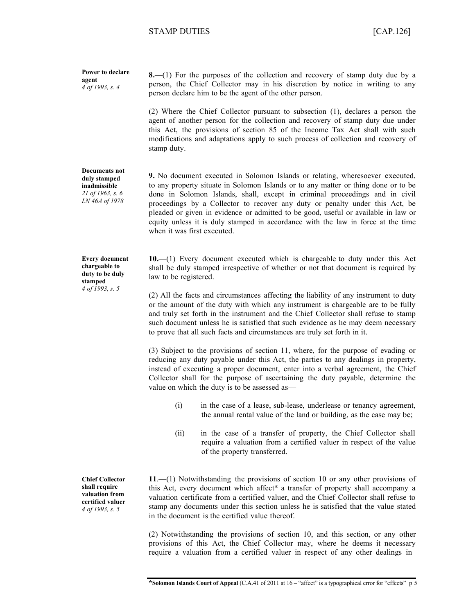**Power to declare agent** *4 of 1993, s. 4*

**8.**—(1) For the purposes of the collection and recovery of stamp duty due by a person, the Chief Collector may in his discretion by notice in writing to any person declare him to be the agent of the other person.

(2) Where the Chief Collector pursuant to subsection (1), declares a person the agent of another person for the collection and recovery of stamp duty due under this Act, the provisions of section 85 of the Income Tax Act shall with such modifications and adaptations apply to such process of collection and recovery of stamp duty.

**9.** No document executed in Solomon Islands or relating, wheresoever executed, to any property situate in Solomon Islands or to any matter or thing done or to be done in Solomon Islands, shall, except in criminal proceedings and in civil proceedings by a Collector to recover any duty or penalty under this Act, be pleaded or given in evidence or admitted to be good, useful or available in law or equity unless it is duly stamped in accordance with the law in force at the time when it was first executed.

**10.**—(1) Every document executed which is chargeable to duty under this Act shall be duly stamped irrespective of whether or not that document is required by law to be registered.

(2) All the facts and circumstances affecting the liability of any instrument to duty or the amount of the duty with which any instrument is chargeable are to be fully and truly set forth in the instrument and the Chief Collector shall refuse to stamp such document unless he is satisfied that such evidence as he may deem necessary to prove that all such facts and circumstances are truly set forth in it.

(3) Subject to the provisions of section 11, where, for the purpose of evading or reducing any duty payable under this Act, the parties to any dealings in property, instead of executing a proper document, enter into a verbal agreement, the Chief Collector shall for the purpose of ascertaining the duty payable, determine the value on which the duty is to be assessed as—

- (i) in the case of a lease, sub-lease, underlease or tenancy agreement, the annual rental value of the land or building, as the case may be;
- (ii) in the case of a transfer of property, the Chief Collector shall require a valuation from a certified valuer in respect of the value of the property transferred.

**11**.—(1) Notwithstanding the provisions of section 10 or any other provisions of this Act, every document which affect\* a transfer of property shall accompany a valuation certificate from a certified valuer, and the Chief Collector shall refuse to stamp any documents under this section unless he is satisfied that the value stated in the document is the certified value thereof.

(2) Notwithstanding the provisions of section 10, and this section, or any other provisions of this Act, the Chief Collector may, where he deems it necessary require a valuation from a certified valuer in respect of any other dealings in

**Every document**

**Documents not duly stamped inadmissible** *21 of 1963, s. 6 LN 46A of 1978*

**chargeable to duty to be duly stamped** *4 of 1993, s. 5*

**Chief Collector shall require valuation from certified valuer** *4 of 1993, s. 5*

**\*Solomon Islands Court of Appeal** (C.A.41 of 2011 at 16 – "affect" is a typographical error for "effects"p 5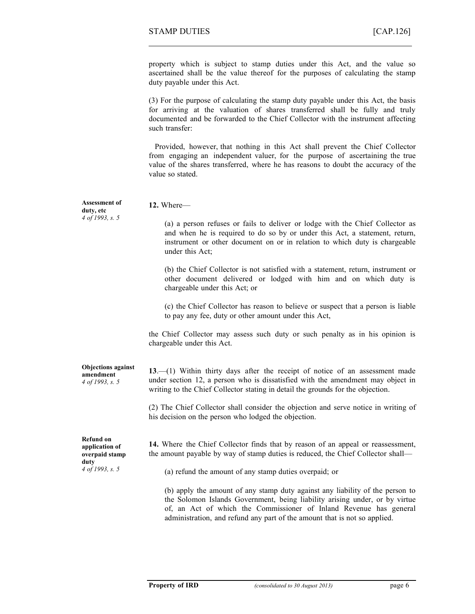property which is subject to stamp duties under this Act, and the value so ascertained shall be the value thereof for the purposes of calculating the stamp duty payable under this Act.

(3) For the purpose of calculating the stamp duty payable under this Act, the basis for arriving at the valuation of shares transferred shall be fully and truly documented and be forwarded to the Chief Collector with the instrument affecting such transfer:

Provided, however, that nothing in this Act shall prevent the Chief Collector from engaging an independent valuer, for the purpose of ascertaining the true value of the shares transferred, where he has reasons to doubt the accuracy of the value so stated.

| <b>Assessment of</b><br>duty, etc                                               | 12. Where-                                                                                                                                                                                                                                                    |  |  |
|---------------------------------------------------------------------------------|---------------------------------------------------------------------------------------------------------------------------------------------------------------------------------------------------------------------------------------------------------------|--|--|
| 4 of 1993, s. 5                                                                 | (a) a person refuses or fails to deliver or lodge with the Chief Collector as<br>and when he is required to do so by or under this Act, a statement, return,<br>instrument or other document on or in relation to which duty is chargeable<br>under this Act; |  |  |
|                                                                                 | (b) the Chief Collector is not satisfied with a statement, return, instrument or<br>other document delivered or lodged with him and on which duty is<br>chargeable under this Act; or                                                                         |  |  |
|                                                                                 | (c) the Chief Collector has reason to believe or suspect that a person is liable<br>to pay any fee, duty or other amount under this Act,                                                                                                                      |  |  |
|                                                                                 | the Chief Collector may assess such duty or such penalty as in his opinion is<br>chargeable under this Act.                                                                                                                                                   |  |  |
| <b>Objections against</b><br>amendment<br>4 of 1993, s. 5                       | $13$ . (1) Within thirty days after the receipt of notice of an assessment made<br>under section 12, a person who is dissatisfied with the amendment may object in<br>writing to the Chief Collector stating in detail the grounds for the objection.         |  |  |
|                                                                                 | (2) The Chief Collector shall consider the objection and serve notice in writing of<br>his decision on the person who lodged the objection.                                                                                                                   |  |  |
| <b>Refund on</b><br>application of<br>overpaid stamp<br>duty<br>4 of 1993, s. 5 | 14. Where the Chief Collector finds that by reason of an appeal or reassessment,<br>the amount payable by way of stamp duties is reduced, the Chief Collector shall—<br>(a) refund the amount of any stamp duties overpaid; or                                |  |  |
|                                                                                 | (b) apply the amount of any stamp duty against any liability of the person to<br>the Solomon Islands Government, being liability arising under, or by virtue<br>of, an Act of which the Commissioner of Inland Revenue has general                            |  |  |

administration, and refund any part of the amount that is not so applied.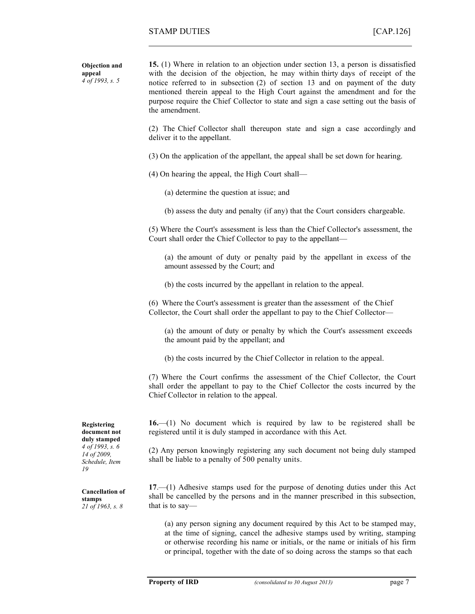**Objection and appeal** *4 of 1993, s. 5*

**15.** (1) Where in relation to an objection under section 13, a person is dissatisfied with the decision of the objection, he may within thirty days of receipt of the notice referred to in subsection (2) of section 13 and on payment of the duty mentioned therein appeal to the High Court against the amendment and for the purpose require the Chief Collector to state and sign a case setting out the basis of the amendment.

(2) The Chief Collector shall thereupon state and sign a case accordingly and deliver it to the appellant.

(3) On the application of the appellant, the appeal shall be set down for hearing.

(4) On hearing the appeal, the High Court shall—

(a) determine the question at issue; and

(b) assess the duty and penalty (if any) that the Court considers chargeable.

(5) Where the Court's assessment is less than the Chief Collector's assessment, the Court shall order the Chief Collector to pay to the appellant—

(a) the amount of duty or penalty paid by the appellant in excess of the amount assessed by the Court; and

(b) the costs incurred by the appellant in relation to the appeal.

(6) Where the Court's assessment is greater than the assessment of the Chief Collector, the Court shall order the appellant to pay to the Chief Collector—

(a) the amount of duty or penalty by which the Court's assessment exceeds the amount paid by the appellant; and

(b) the costs incurred by the Chief Collector in relation to the appeal.

(7) Where the Court confirms the assessment of the Chief Collector, the Court shall order the appellant to pay to the Chief Collector the costs incurred by the Chief Collector in relation to the appeal.

**16.**—(1) No document which is required by law to be registered shall be registered until it is duly stamped in accordance with this Act.

(2) Any person knowingly registering any such document not being duly stamped shall be liable to a penalty of 500 penalty units.

**17**.—(1) Adhesive stamps used for the purpose of denoting duties under this Act shall be cancelled by the persons and in the manner prescribed in this subsection, that is to say—

(a) any person signing any document required by this Act to be stamped may, at the time of signing, cancel the adhesive stamps used by writing, stamping or otherwise recording his name or initials, or the name or initials of his firm or principal, together with the date of so doing across the stamps so that each

**Registering document not duly stamped** *4 of 1993, s. 6 14 of 2009, Schedule, Item 19*

**Cancellation of stamps** *21 of 1963, s. 8*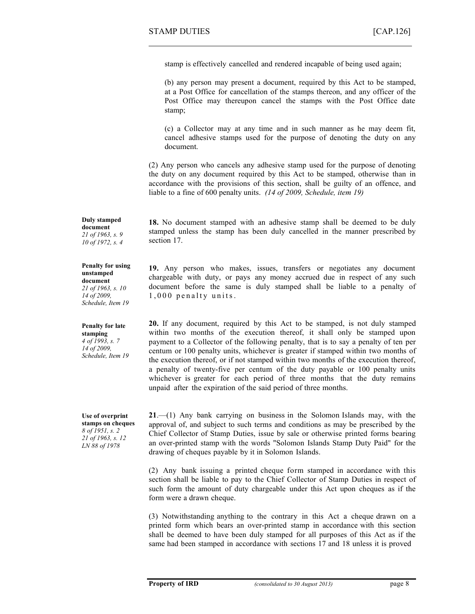stamp is effectively cancelled and rendered incapable of being used again;

(b) any person may present a document, required by this Act to be stamped, at a Post Office for cancellation of the stamps thereon, and any officer of the Post Office may thereupon cancel the stamps with the Post Office date stamp;

(c) a Collector may at any time and in such manner as he may deem fit, cancel adhesive stamps used for the purpose of denoting the duty on any document.

(2) Any person who cancels any adhesive stamp used for the purpose of denoting the duty on any document required by this Act to be stamped, otherwise than in accordance with the provisions of this section, shall be guilty of an offence, and liable to a fine of 600 penalty units. *(14 of 2009, Schedule, item 19)*

**18.** No document stamped with an adhesive stamp shall be deemed to be duly stamped unless the stamp has been duly cancelled in the manner prescribed by section 17.

**19.** Any person who makes, issues, transfers or negotiates any document chargeable with duty, or pays any money accrued due in respect of any such document before the same is duly stamped shall be liable to a penalty of  $1,000$  penalty units.

**20.** If any document, required by this Act to be stamped, is not duly stamped within two months of the execution thereof, it shall only be stamped upon payment to a Collector of the following penalty, that is to say a penalty of ten per centum or 100 penalty units, whichever is greater if stamped within two months of the execution thereof, or if not stamped within two months of the execution thereof, a penalty of twenty-five per centum of the duty payable or 100 penalty units whichever is greater for each period of three months that the duty remains unpaid after the expiration of the said period of three months.

**21**.—(1) Any bank carrying on business in the Solomon Islands may, with the approval of, and subject to such terms and conditions as may be prescribed by the Chief Collector of Stamp Duties, issue by sale or otherwise printed forms bearing an over-printed stamp with the words "Solomon Islands Stamp Duty Paid" for the drawing of cheques payable by it in Solomon Islands.

(2) Any bank issuing a printed cheque form stamped in accordance with this section shall be liable to pay to the Chief Collector of Stamp Duties in respect of such form the amount of duty chargeable under this Act upon cheques as if the form were a drawn cheque.

(3) Notwithstanding anything to the contrary in this Act a cheque drawn on a printed form which bears an over-printed stamp in accordance with this section shall be deemed to have been duly stamped for all purposes of this Act as if the same had been stamped in accordance with sections 17 and 18 unless it is proved

**Duly stamped document** *21 of 1963, s. 9 10 of 1972, s. 4*

#### **Penalty for using unstamped document** *21 of 1963, s. 10*

*14 of 2009, Schedule, Item 19*

**Penalty for late stamping** *4 of 1993, s. 7 14 of 2009, Schedule, Item 19*

**Use of overprint stamps on cheques** *8 of 1951, s. 2 21 of 1963, s. 12 LN 88 of 1978*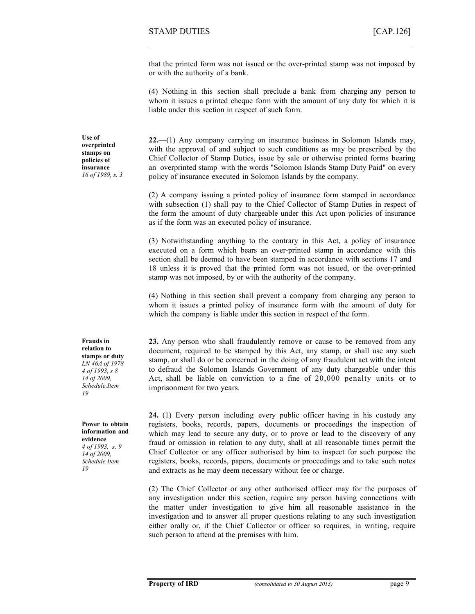that the printed form was not issued or the over-printed stamp was not imposed by or with the authority of a bank.

(4) Nothing in this section shall preclude a bank from charging any person to whom it issues a printed cheque form with the amount of any duty for which it is liable under this section in respect of such form.

**22.**—(1) Any company carrying on insurance business in Solomon Islands may, with the approval of and subject to such conditions as may be prescribed by the Chief Collector of Stamp Duties, issue by sale or otherwise printed forms bearing an overprinted stamp with the words "Solomon Islands Stamp Duty Paid" on every policy of insurance executed in Solomon Islands by the company.

(2) A company issuing a printed policy of insurance form stamped in accordance with subsection (1) shall pay to the Chief Collector of Stamp Duties in respect of the form the amount of duty chargeable under this Act upon policies of insurance as if the form was an executed policy of insurance.

(3) Notwithstanding anything to the contrary in this Act, a policy of insurance executed on a form which bears an over-printed stamp in accordance with this section shall be deemed to have been stamped in accordance with sections 17 and 18 unless it is proved that the printed form was not issued, or the over-printed stamp was not imposed, by or with the authority of the company.

(4) Nothing in this section shall prevent a company from charging any person to whom it issues a printed policy of insurance form with the amount of duty for which the company is liable under this section in respect of the form.

**23.** Any person who shall fraudulently remove or cause to be removed from any document, required to be stamped by this Act, any stamp, or shall use any such stamp, or shall do or be concerned in the doing of any fraudulent act with the intent to defraud the Solomon Islands Government of any duty chargeable under this Act, shall be liable on conviction to a fine of 20,000 penalty units or to imprisonment for two years.

**24.** (1) Every person including every public officer having in his custody any registers, books, records, papers, documents or proceedings the inspection of which may lead to secure any duty, or to prove or lead to the discovery of any fraud or omission in relation to any duty, shall at all reasonable times permit the Chief Collector or any officer authorised by him to inspect for such purpose the registers, books, records, papers, documents or proceedings and to take such notes and extracts as he may deem necessary without fee or charge.

(2) The Chief Collector or any other authorised officer may for the purposes of any investigation under this section, require any person having connections with the matter under investigation to give him all reasonable assistance in the investigation and to answer all proper questions relating to any such investigation either orally or, if the Chief Collector or officer so requires, in writing, require such person to attend at the premises with him.

**Use of overprinted stamps on policies of insurance** *16 of 1989, s. 3*

**Frauds in relation to stamps or duty** *LN 46A of 1978 4 of 1993, s 8 14 of 2009, Schedule,Item 19*

**Power to obtain information and evidence** *4 of 1993, s. 9 14 of 2009, Schedule Item 19*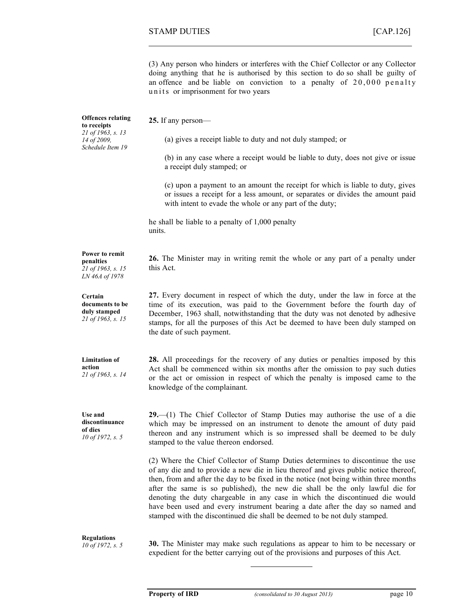(3) Any person who hinders or interferes with the Chief Collector or any Collector doing anything that he is authorised by this section to do so shall be guilty of an offence and be liable on conviction to a penalty of  $20,000$  penalty units or imprisonment for two years

| <b>Offences relating</b><br>to receipts<br>21 of 1963, s. 13<br>14 of 2009.<br>Schedule Item 19 | 25. If any person—<br>(a) gives a receipt liable to duty and not duly stamped; or                                                                                                                                                                                                                                                                                                                                                                                                                                                                                                               |
|-------------------------------------------------------------------------------------------------|-------------------------------------------------------------------------------------------------------------------------------------------------------------------------------------------------------------------------------------------------------------------------------------------------------------------------------------------------------------------------------------------------------------------------------------------------------------------------------------------------------------------------------------------------------------------------------------------------|
|                                                                                                 | (b) in any case where a receipt would be liable to duty, does not give or issue<br>a receipt duly stamped; or                                                                                                                                                                                                                                                                                                                                                                                                                                                                                   |
|                                                                                                 | (c) upon a payment to an amount the receipt for which is liable to duty, gives<br>or issues a receipt for a less amount, or separates or divides the amount paid<br>with intent to evade the whole or any part of the duty;                                                                                                                                                                                                                                                                                                                                                                     |
|                                                                                                 | he shall be liable to a penalty of 1,000 penalty<br>units.                                                                                                                                                                                                                                                                                                                                                                                                                                                                                                                                      |
| Power to remit<br>penalties<br>21 of 1963, s. 15<br>LN 46A of 1978                              | 26. The Minister may in writing remit the whole or any part of a penalty under<br>this Act.                                                                                                                                                                                                                                                                                                                                                                                                                                                                                                     |
| Certain<br>documents to be<br>duly stamped<br>21 of 1963, s. 15                                 | 27. Every document in respect of which the duty, under the law in force at the<br>time of its execution, was paid to the Government before the fourth day of<br>December, 1963 shall, notwithstanding that the duty was not denoted by adhesive<br>stamps, for all the purposes of this Act be deemed to have been duly stamped on<br>the date of such payment.                                                                                                                                                                                                                                 |
| <b>Limitation of</b><br>action<br>21 of 1963, s. 14                                             | 28. All proceedings for the recovery of any duties or penalties imposed by this<br>Act shall be commenced within six months after the omission to pay such duties<br>or the act or omission in respect of which the penalty is imposed came to the<br>knowledge of the complainant.                                                                                                                                                                                                                                                                                                             |
| Use and<br>discontinuance<br>of dies<br>10 of 1972, s. 5                                        | $29$ —(1) The Chief Collector of Stamp Duties may authorise the use of a die<br>which may be impressed on an instrument to denote the amount of duty paid<br>thereon and any instrument which is so impressed shall be deemed to be duly<br>stamped to the value thereon endorsed.                                                                                                                                                                                                                                                                                                              |
|                                                                                                 | (2) Where the Chief Collector of Stamp Duties determines to discontinue the use<br>of any die and to provide a new die in lieu thereof and gives public notice thereof,<br>then, from and after the day to be fixed in the notice (not being within three months<br>after the same is so published), the new die shall be the only lawful die for<br>denoting the duty chargeable in any case in which the discontinued die would<br>have been used and every instrument bearing a date after the day so named and<br>stamped with the discontinued die shall be deemed to be not duly stamped. |

**Regulations** *10 of 1972, s. 5* **30.** The Minister may make such regulations as appear to him to be necessary or expedient for the better carrying out of the provisions and purposes of this Act.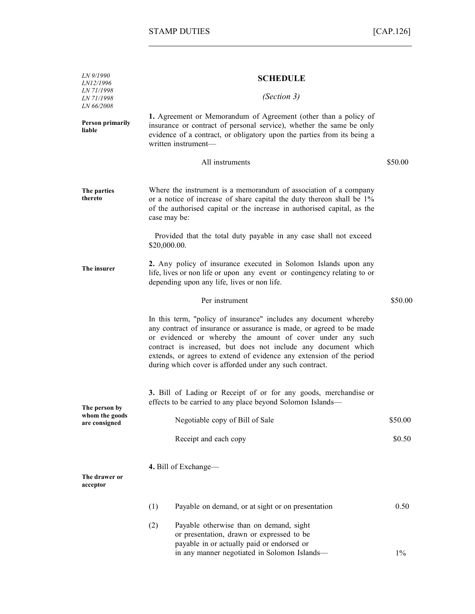| LN 9/1990<br>LN12/1996                               | <b>SCHEDULE</b><br>(Section 3)                                                                                                                                                                                                                                                                                                                                                                               |         |  |
|------------------------------------------------------|--------------------------------------------------------------------------------------------------------------------------------------------------------------------------------------------------------------------------------------------------------------------------------------------------------------------------------------------------------------------------------------------------------------|---------|--|
| <i>LN 71/1998</i><br>LN 71/1998<br><i>LN 66/2008</i> |                                                                                                                                                                                                                                                                                                                                                                                                              |         |  |
| <b>Person primarily</b><br>liable                    | 1. Agreement or Memorandum of Agreement (other than a policy of<br>insurance or contract of personal service), whether the same be only<br>evidence of a contract, or obligatory upon the parties from its being a<br>written instrument-                                                                                                                                                                    |         |  |
|                                                      | All instruments                                                                                                                                                                                                                                                                                                                                                                                              | \$50.00 |  |
| The parties<br>thereto                               | Where the instrument is a memorandum of association of a company<br>or a notice of increase of share capital the duty thereon shall be 1%<br>of the authorised capital or the increase in authorised capital, as the<br>case may be:                                                                                                                                                                         |         |  |
|                                                      | Provided that the total duty payable in any case shall not exceed<br>\$20,000.00.                                                                                                                                                                                                                                                                                                                            |         |  |
| The insurer                                          | 2. Any policy of insurance executed in Solomon Islands upon any<br>life, lives or non life or upon any event or contingency relating to or<br>depending upon any life, lives or non life.                                                                                                                                                                                                                    |         |  |
|                                                      | Per instrument                                                                                                                                                                                                                                                                                                                                                                                               | \$50.00 |  |
|                                                      | In this term, "policy of insurance" includes any document whereby<br>any contract of insurance or assurance is made, or agreed to be made<br>or evidenced or whereby the amount of cover under any such<br>contract is increased, but does not include any document which<br>extends, or agrees to extend of evidence any extension of the period<br>during which cover is afforded under any such contract. |         |  |
| The person by                                        | 3. Bill of Lading or Receipt of or for any goods, merchandise or<br>effects to be carried to any place beyond Solomon Islands—                                                                                                                                                                                                                                                                               |         |  |
| whom the goods<br>are consigned                      | Negotiable copy of Bill of Sale                                                                                                                                                                                                                                                                                                                                                                              | \$50.00 |  |
|                                                      | Receipt and each copy                                                                                                                                                                                                                                                                                                                                                                                        | \$0.50  |  |
| The drawer or<br>acceptor                            | 4. Bill of Exchange-                                                                                                                                                                                                                                                                                                                                                                                         |         |  |
|                                                      | (1)<br>Payable on demand, or at sight or on presentation                                                                                                                                                                                                                                                                                                                                                     | 0.50    |  |
|                                                      | (2)<br>Payable otherwise than on demand, sight<br>or presentation, drawn or expressed to be<br>payable in or actually paid or endorsed or                                                                                                                                                                                                                                                                    |         |  |
|                                                      | in any manner negotiated in Solomon Islands-                                                                                                                                                                                                                                                                                                                                                                 | $1\%$   |  |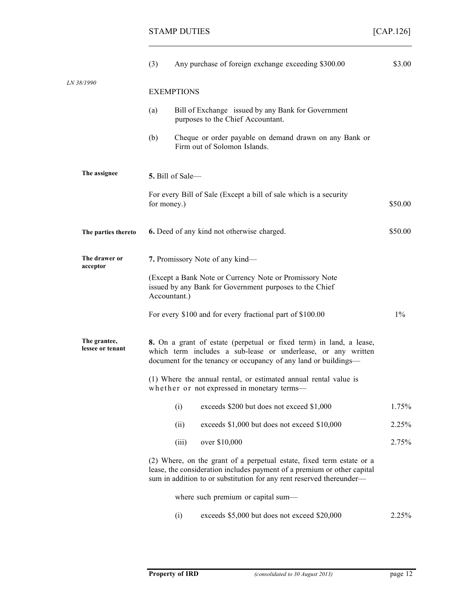|                                  | (3)                                                                                                                                | Any purchase of foreign exchange exceeding \$300.00                                                                                                                                                                      | \$3.00  |
|----------------------------------|------------------------------------------------------------------------------------------------------------------------------------|--------------------------------------------------------------------------------------------------------------------------------------------------------------------------------------------------------------------------|---------|
| LN 38/1990                       |                                                                                                                                    |                                                                                                                                                                                                                          |         |
|                                  |                                                                                                                                    | <b>EXEMPTIONS</b>                                                                                                                                                                                                        |         |
|                                  | (a)                                                                                                                                | Bill of Exchange issued by any Bank for Government<br>purposes to the Chief Accountant.                                                                                                                                  |         |
|                                  | (b)                                                                                                                                | Cheque or order payable on demand drawn on any Bank or<br>Firm out of Solomon Islands.                                                                                                                                   |         |
| The assignee                     |                                                                                                                                    | 5. Bill of Sale-                                                                                                                                                                                                         |         |
|                                  | for money.)                                                                                                                        | For every Bill of Sale (Except a bill of sale which is a security                                                                                                                                                        | \$50.00 |
| The parties thereto              | \$50.00<br>6. Deed of any kind not otherwise charged.                                                                              |                                                                                                                                                                                                                          |         |
| The drawer or<br>acceptor        |                                                                                                                                    | 7. Promissory Note of any kind—                                                                                                                                                                                          |         |
|                                  | (Except a Bank Note or Currency Note or Promissory Note<br>issued by any Bank for Government purposes to the Chief<br>Accountant.) |                                                                                                                                                                                                                          |         |
|                                  |                                                                                                                                    | For every \$100 and for every fractional part of \$100.00                                                                                                                                                                | $1\%$   |
| The grantee,<br>lessee or tenant |                                                                                                                                    | 8. On a grant of estate (perpetual or fixed term) in land, a lease,<br>which term includes a sub-lease or underlease, or any written<br>document for the tenancy or occupancy of any land or buildings—                  |         |
|                                  |                                                                                                                                    | (1) Where the annual rental, or estimated annual rental value is<br>whether or not expressed in monetary terms-                                                                                                          |         |
|                                  |                                                                                                                                    | exceeds \$200 but does not exceed \$1,000<br>(i)                                                                                                                                                                         | 1.75%   |
|                                  |                                                                                                                                    | exceeds \$1,000 but does not exceed \$10,000<br>(ii)                                                                                                                                                                     | 2.25%   |
|                                  |                                                                                                                                    | over \$10,000<br>(iii)                                                                                                                                                                                                   | 2.75%   |
|                                  |                                                                                                                                    | (2) Where, on the grant of a perpetual estate, fixed term estate or a<br>lease, the consideration includes payment of a premium or other capital<br>sum in addition to or substitution for any rent reserved thereunder- |         |
|                                  |                                                                                                                                    | where such premium or capital sum-                                                                                                                                                                                       |         |
|                                  |                                                                                                                                    | exceeds \$5,000 but does not exceed \$20,000<br>(i)                                                                                                                                                                      | 2.25%   |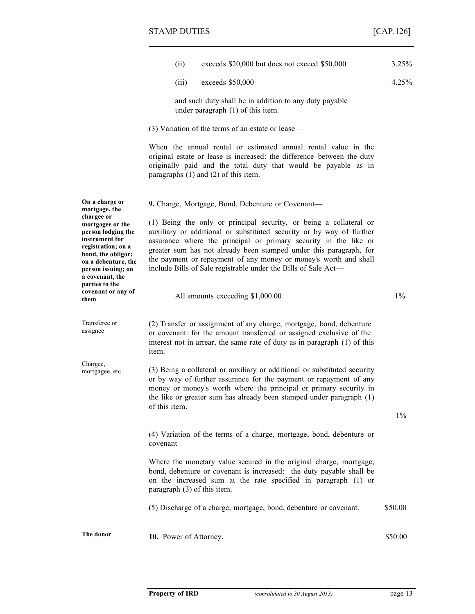|                                                                                                                                                                                                      | exceeds \$20,000 but does not exceed \$50,000<br>(ii)                                                                                                                                                                                                                                                                                                                                                                      | 3.25%   |
|------------------------------------------------------------------------------------------------------------------------------------------------------------------------------------------------------|----------------------------------------------------------------------------------------------------------------------------------------------------------------------------------------------------------------------------------------------------------------------------------------------------------------------------------------------------------------------------------------------------------------------------|---------|
|                                                                                                                                                                                                      | exceeds \$50,000<br>(iii)                                                                                                                                                                                                                                                                                                                                                                                                  | 4.25%   |
|                                                                                                                                                                                                      | and such duty shall be in addition to any duty payable<br>under paragraph $(1)$ of this item.                                                                                                                                                                                                                                                                                                                              |         |
|                                                                                                                                                                                                      | (3) Variation of the terms of an estate or lease—                                                                                                                                                                                                                                                                                                                                                                          |         |
|                                                                                                                                                                                                      | When the annual rental or estimated annual rental value in the<br>original estate or lease is increased: the difference between the duty<br>originally paid and the total duty that would be payable as in<br>paragraphs $(1)$ and $(2)$ of this item.                                                                                                                                                                     |         |
| On a charge or<br>mortgage, the                                                                                                                                                                      | 9. Charge, Mortgage, Bond, Debenture or Covenant-                                                                                                                                                                                                                                                                                                                                                                          |         |
| chargee or<br>mortgagee or the<br>person lodging the<br>instrument for<br>registration; on a<br>bond, the obligor;<br>on a debenture, the<br>person issuing; on<br>a covenant, the<br>parties to the | (1) Being the only or principal security, or being a collateral or<br>auxiliary or additional or substituted security or by way of further<br>assurance where the principal or primary security in the like or<br>greater sum has not already been stamped under this paragraph, for<br>the payment or repayment of any money or money's worth and shall<br>include Bills of Sale registrable under the Bills of Sale Act- |         |
| covenant or any of<br>them                                                                                                                                                                           | All amounts exceeding \$1,000.00                                                                                                                                                                                                                                                                                                                                                                                           | $1\%$   |
| Transferee or<br>assignee                                                                                                                                                                            | (2) Transfer or assignment of any charge, mortgage, bond, debenture<br>or covenant: for the amount transferred or assigned exclusive of the<br>interest not in arrear, the same rate of duty as in paragraph (1) of this<br>item.                                                                                                                                                                                          |         |
| Chargee,<br>mortgagee, etc                                                                                                                                                                           | (3) Being a collateral or auxiliary or additional or substituted security<br>or by way of further assurance for the payment or repayment of any<br>money or money's worth where the principal or primary security in<br>the like or greater sum has already been stamped under paragraph (1)<br>of this item.                                                                                                              |         |
|                                                                                                                                                                                                      |                                                                                                                                                                                                                                                                                                                                                                                                                            | $1\%$   |
|                                                                                                                                                                                                      | (4) Variation of the terms of a charge, mortgage, bond, debenture or<br>covenant-                                                                                                                                                                                                                                                                                                                                          |         |
|                                                                                                                                                                                                      | Where the monetary value secured in the original charge, mortgage,<br>bond, debenture or covenant is increased: the duty payable shall be<br>on the increased sum at the rate specified in paragraph (1) or<br>paragraph (3) of this item.                                                                                                                                                                                 |         |
|                                                                                                                                                                                                      | (5) Discharge of a charge, mortgage, bond, debenture or covenant.                                                                                                                                                                                                                                                                                                                                                          | \$50.00 |
| The donor                                                                                                                                                                                            | 10. Power of Attorney.                                                                                                                                                                                                                                                                                                                                                                                                     | \$50.00 |
|                                                                                                                                                                                                      |                                                                                                                                                                                                                                                                                                                                                                                                                            |         |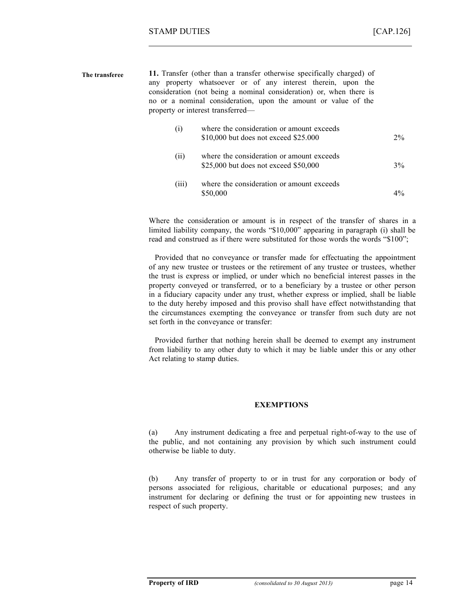| The transferee |      | 11. Transfer (other than a transfer otherwise specifically charged) of<br>any property whatsoever or of any interest therein, upon the<br>consideration (not being a nominal consideration) or, when there is<br>no or a nominal consideration, upon the amount or value of the<br>property or interest transferred— |    |
|----------------|------|----------------------------------------------------------------------------------------------------------------------------------------------------------------------------------------------------------------------------------------------------------------------------------------------------------------------|----|
|                | (i)  | where the consideration or amount exceeds<br>\$10,000 but does not exceed \$25.000                                                                                                                                                                                                                                   | 2% |
|                | (ii) | where the consideration or amount exceeds<br>$$25,000$ but does not exceed $$50,000$                                                                                                                                                                                                                                 | 3% |
|                |      |                                                                                                                                                                                                                                                                                                                      |    |

(iii) where the consideration or amount exceeds  $$50,000$  4%

Where the consideration or amount is in respect of the transfer of shares in a limited liability company, the words "\$10,000" appearing in paragraph (i) shall be read and construed as if there were substituted for those words the words "\$100";

Provided that no conveyance or transfer made for effectuating the appointment of any new trustee or trustees or the retirement of any trustee or trustees, whether the trust is express or implied, or under which no beneficial interest passes in the property conveyed or transferred, or to a beneficiary by a trustee or other person in a fiduciary capacity under any trust, whether express or implied, shall be liable to the duty hereby imposed and this proviso shall have effect notwithstanding that the circumstances exempting the conveyance or transfer from such duty are not set forth in the conveyance or transfer:

Provided further that nothing herein shall be deemed to exempt any instrument from liability to any other duty to which it may be liable under this or any other Act relating to stamp duties.

#### **EXEMPTIONS**

(a) Any instrument dedicating a free and perpetual right-of-way to the use of the public, and not containing any provision by which such instrument could otherwise be liable to duty.

(b) Any transfer of property to or in trust for any corporation or body of persons associated for religious, charitable or educational purposes; and any instrument for declaring or defining the trust or for appointing new trustees in respect of such property.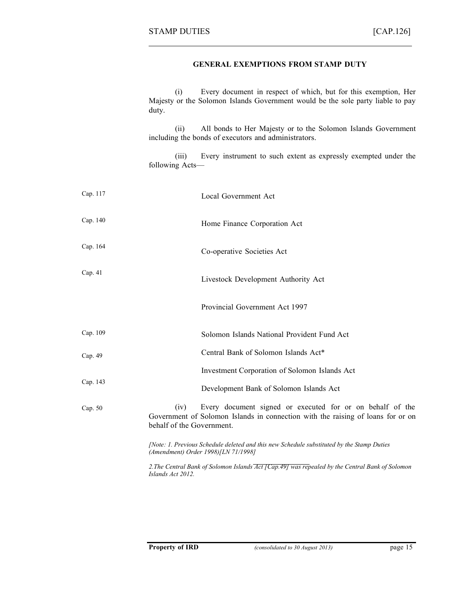#### **GENERAL EXEMPTIONS FROM STAMP DUTY**

(i) Every document in respect of which, but for this exemption, Her Majesty or the Solomon Islands Government would be the sole party liable to pay duty.

(ii) All bonds to Her Majesty or to the Solomon Islands Government including the bonds of executors and administrators.

(iii) Every instrument to such extent as expressly exempted under the following Acts—

| Cap. 117  | Local Government Act                                                                                                                                                              |
|-----------|-----------------------------------------------------------------------------------------------------------------------------------------------------------------------------------|
| Cap. 140  | Home Finance Corporation Act                                                                                                                                                      |
| Cap. 164  | Co-operative Societies Act                                                                                                                                                        |
| Cap. $41$ | Livestock Development Authority Act                                                                                                                                               |
|           | Provincial Government Act 1997                                                                                                                                                    |
| Cap. 109  | Solomon Islands National Provident Fund Act                                                                                                                                       |
| Cap. 49   | Central Bank of Solomon Islands Act*                                                                                                                                              |
|           | Investment Corporation of Solomon Islands Act                                                                                                                                     |
| Cap. 143  | Development Bank of Solomon Islands Act                                                                                                                                           |
| Cap. 50   | Every document signed or executed for or on behalf of the<br>(iv)<br>Government of Solomon Islands in connection with the raising of loans for or on<br>behalf of the Government. |
|           | [Note: 1. Previous Schedule deleted and this new Schedule substituted by the Stamp Duties<br>(Amendment) Order 1998)[LN 71/1998]                                                  |
|           | 2. The Central Bank of Solomon Islands Act [Cap. 49] was repealed by the Central Bank of Solomon<br>Islands Act 2012.                                                             |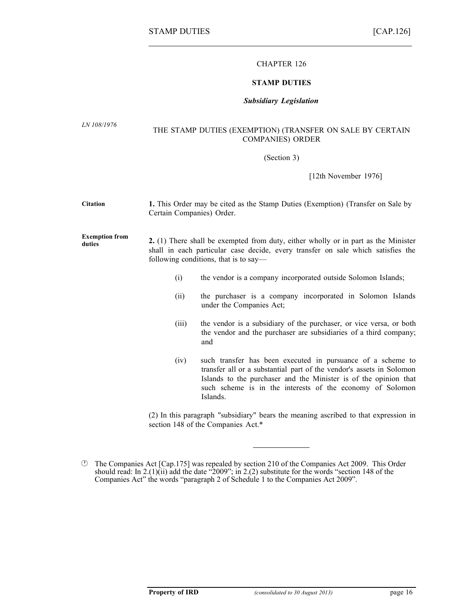#### CHAPTER 126

#### **STAMP DUTIES**

#### *Subsidiary Legislation*

*LN 108/1976*

#### THE STAMP DUTIES (EXEMPTION) (TRANSFER ON SALE BY CERTAIN COMPANIES) ORDER

(Section 3)

[12th November 1976]

**Citation Exemption from duties 1.** This Order may be cited as the Stamp Duties (Exemption) (Transfer on Sale by Certain Companies) Order. **2.** (1) There shall be exempted from duty, either wholly or in part as the Minister shall in each particular case decide, every transfer on sale which satisfies the following conditions, that is to say— (i) the vendor is a company incorporated outside Solomon Islands; (ii) the purchaser is a company incorporated in Solomon Islands under the Companies Act; (iii) the vendor is a subsidiary of the purchaser, or vice versa, or both the vendor and the purchaser are subsidiaries of a third company; and (iv) such transfer has been executed in pursuance of a scheme to transfer all or a substantial part of the vendor's assets in Solomon Islands to the purchaser and the Minister is of the opinion that such scheme is in the interests of the economy of Solomon Islands. (2) In this paragraph "subsidiary" bears the meaning ascribed to that expression in section 148 of the Companies Act.\*

The Companies Act [Cap.175] was repealed by section 210 of the Companies Act 2009. This Order should read: In 2.(1)(ii) add the date "2009"; in 2.(2) substitute for the words "section 148 of the Companies Act" the words "paragraph 2 of Schedule 1 to the Companies Act 2009".